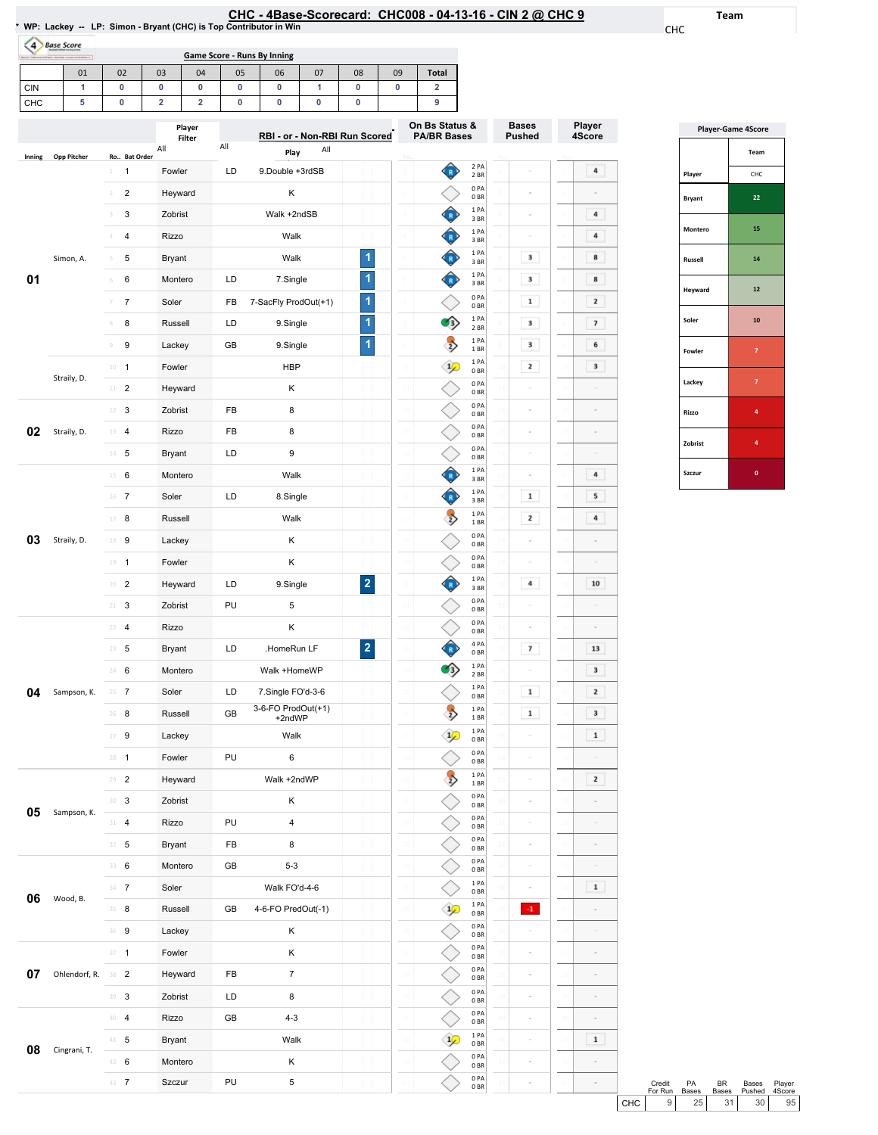## CHC-4Base-Scorecard: CHC008-04-13-16-CIN2@ CHC9

1

8 9 10  $\begin{array}{c} 1 \text{ PA} \\ 2 \text{ BR} \end{array}$  $\begin{array}{c} 1 \text{ PA} \\ 1 \text{ BR} \end{array}$  $\begin{array}{c} 1 \ \text{PA} \ 0 \ \text{BR} \end{array}$ 

 $\rightarrow$ 

Bases Pushed

 $\sim$ 

 $\sim$  $\overline{\phantom{a}}$ 

 $\overline{\phantom{a}}$ 

 $\begin{array}{|c|} \hline \textbf{1} \end{array}$ 

 $\overline{\phantom{a}}$ 

 $\overline{\phantom{a}}$ 

Ro..

Player 4Score

 $\overline{4}$ 

 $\blacksquare$ 

 $\,$  4  $\,$ 

 $\begin{array}{c} \hline \end{array}$ 

 $\bf{8}$ 

 $\overline{\mathbf{2}}$ 

 $\overline{\phantom{a}}$ 

 $6$ 

10

Team

CHC

| <b>Bandara 14 Ban</b> | <b>Base Score</b><br>will black fourtheirs average disposition of |                                     |                |                  | Game Score - Runs By Inning |                                       |      |                |          |                                      |                         |
|-----------------------|-------------------------------------------------------------------|-------------------------------------|----------------|------------------|-----------------------------|---------------------------------------|------|----------------|----------|--------------------------------------|-------------------------|
|                       | 01                                                                | 02                                  | 03             | 04               | 05                          | 06                                    | 07   | 08             | 09       | <b>Total</b>                         |                         |
| CIN                   | 1                                                                 | 0                                   | 0              | 0                | 0                           | 0                                     | 1    | 0              | 0        | $\overline{2}$                       |                         |
| CHC                   | 5                                                                 | 0                                   | $\overline{2}$ | $\overline{2}$   | 0                           | 0                                     | 0    | 0              |          | 9                                    |                         |
|                       |                                                                   |                                     | All            | Player<br>Filter | All                         | RBI - or - Non-RBI Run Scored<br>Play | All  |                |          | On Bs Status &<br><b>PA/BR Bases</b> |                         |
| Inning                | Opp Pitcher                                                       | Ro., Bat Order<br>$\mathbf{1}$<br>1 | Fowler         |                  | LD.                         | 9. Double +3rdSB                      |      |                | Ro.      |                                      | 2 PA<br>2 <sub>BR</sub> |
|                       |                                                                   | $\overline{2}$<br>$\mathfrak{D}$    | Heyward        |                  |                             | K                                     |      |                |          |                                      | 0PA<br>0 <sub>BR</sub>  |
|                       |                                                                   | 3<br>3.                             | Zobrist        |                  |                             | Walk +2ndSB                           |      |                |          |                                      | 1PA<br>3BR              |
|                       |                                                                   | $\overline{4}$<br>4                 | <b>Rizzo</b>   |                  |                             | Walk                                  |      |                | $\Delta$ |                                      | 1 PA<br>3BR             |
|                       | Simon, A.                                                         | 5<br>5                              | Bryant         |                  |                             |                                       | Walk |                |          |                                      | 1PA<br>3BR              |
| 01                    |                                                                   | 6<br>6                              | Montero        |                  | LD.                         | 7.Single                              |      | 1              | 6        |                                      | 1PA<br>3BR              |
|                       |                                                                   | $\overline{7}$<br>7                 | Soler          |                  | FB                          | 7-SacFly ProdOut(+1)                  |      | $\overline{1}$ |          |                                      | 0PA<br>0 <sub>BR</sub>  |

8 8 Russell LD 9.Single 9 9 Lackey GB 9.Single

10 1 Fowler **HBP** 

|               | <b>Player-Game 4Score</b> |
|---------------|---------------------------|
|               | Team                      |
| Player        | CHC                       |
| <b>Bryant</b> | 22                        |
| Montero       | 15                        |
| Russell       | 14                        |
| Heyward       | 12                        |
| Soler         | 10                        |
| Fowler        | $\overline{7}$            |
| Lackey        | 7                         |
| Rizzo         | 4                         |
| Zobrist       | 4                         |
| Szczur        | 0                         |

|    |               |               |                         | <b>I</b> OWICI |    | ז שו                         |                         | ᆓ              | 0 <sub>BR</sub>                    |                 |             | ÷              |            |
|----|---------------|---------------|-------------------------|----------------|----|------------------------------|-------------------------|----------------|------------------------------------|-----------------|-------------|----------------|------------|
|    | Straily, D.   | 11            | $\sqrt{2}$              | Heyward        |    | Κ                            |                         |                | 0PA<br>0 <sub>BR</sub>             |                 |             |                |            |
|    |               | 12            | 3                       | Zobrist        | FB | 8                            |                         |                | 0PA<br>0 <sub>BR</sub>             | $\overline{12}$ |             |                |            |
| 02 | Straily, D.   | 13            | $\overline{4}$          | Rizzo          | FB | 8                            |                         |                | 0PA<br>0 <sub>BR</sub>             |                 |             |                |            |
|    |               | $14\,$        | 5                       | <b>Bryant</b>  | LD | 9                            |                         |                | 0PA<br>0 <sub>BR</sub>             | $\overline{14}$ |             |                |            |
|    |               | $15\,$        | 6                       | Montero        |    | Walk                         |                         | Ô              | 1PA<br>3BR                         | Ė               |             | 4              |            |
|    |               | 16            | $\overline{7}$          | Soler          | LD | 8.Single                     |                         | Ô              | 1PA<br>3 BR                        | 16              | $\mathbf 1$ | 5              |            |
|    |               | $17\,$        | 8                       | Russell        |    | Walk                         |                         | $\rightarrow$  | 1 PA<br>1 BR                       | 17              | 2           | 4              |            |
| 03 | Straily, D.   | 18            | 9                       | Lackey         |    | Κ                            |                         |                | 0PA<br>0 <sub>BR</sub>             | 18              |             |                |            |
|    |               | 19            | $\mathbf{1}$            | Fowler         |    | Κ                            |                         |                | 0PA<br>0 <sub>BR</sub>             | īś              |             |                |            |
|    |               | $20\,$        | $\overline{2}$          | Heyward        | LD | 9.Single                     | $\overline{\mathbf{2}}$ | $\hat{P}$      | 1PA<br>3 BR                        | $\overline{20}$ | 4           | 10             |            |
|    |               | $2\mathbb{1}$ | 3                       | Zobrist        | PU | 5                            |                         |                | 0PA<br>0 <sub>BR</sub>             | $_{21}$         |             | ÷              |            |
|    |               | 22            | $\overline{\mathbf{4}}$ | Rizzo          |    | Κ                            |                         |                | 0PA<br>0 <sub>BR</sub>             | $\overline{2}$  |             |                |            |
|    |               | 23            | 5                       | <b>Bryant</b>  | LD | .HomeRun LF                  | $\overline{\mathbf{2}}$ | Ô              | 4 PA<br>0 <sub>BR</sub>            | ż               | 7           | 13             |            |
|    |               | 24            | 6                       | Montero        |    | Walk +HomeWP                 |                         | 的              | 1PA<br>2 <sub>BR</sub>             | 24              |             | 3              |            |
| 04 | Sampson, K.   | 25            | $\overline{7}$          | Soler          | LD | 7.Single FO'd-3-6            |                         |                | 1PA<br>0 <sub>BR</sub>             | $\overline{25}$ | $\mathbf 1$ | 2              |            |
|    |               | 26            | 8                       | Russell        | GB | 3-6-FO ProdOut(+1)<br>+2ndWP |                         | $\rightarrow$  | 1 PA<br>1 BR                       | 26              | $\mathbf 1$ | 3              |            |
|    |               | 27            | 9                       | Lackey         |    | Walk                         |                         | $\overline{1}$ | 1PA<br>0 <sub>BR</sub>             | ż               |             | $\mathbf 1$    |            |
|    |               | 28            | $\mathbf{1}$            | Fowler         | PU | 6                            |                         |                | 0 <sub>PA</sub><br>0 <sub>BR</sub> | 28              |             |                |            |
|    |               | 29            | $\overline{c}$          | Heyward        |    | Walk +2ndWP                  |                         | $\Rightarrow$  | 1 PA<br>1BR                        | 29              |             | $\bar{\bf 2}$  |            |
|    |               | 30            | 3                       | Zobrist        |    | Κ                            |                         |                | 0PA<br>0 <sub>BR</sub>             |                 |             |                |            |
| 05 | Sampson, K.   | 31            | 4                       | Rizzo          | PU | 4                            |                         |                | 0PA<br>0 <sub>BR</sub>             | 31              |             |                |            |
|    |               | 32            | 5                       | <b>Bryant</b>  | FB | 8                            |                         |                | 0PA<br>0 <sub>BR</sub>             | 32              |             |                |            |
|    |               | 33            | $\,6\,$                 | Montero        | GB | $5 - 3$                      |                         |                | 0PA<br>0 <sub>BR</sub>             | 33              |             |                |            |
| 06 |               | 34            | $\overline{7}$          | Soler          |    | Walk FO'd-4-6                |                         |                | 1 PA<br>0 <sub>BR</sub>            | 34              |             | $\mathbf 1$    |            |
|    | Wood, B.      | 35            | 8                       | Russell        | GB | 4-6-FO PredOut(-1)           |                         | $\frac{1}{2}$  | 1PA<br>0 <sub>BR</sub>             | 3Ś              | $\cdot 1$   | $\overline{a}$ |            |
|    |               | 36            | 9                       | Lackey         |    | Κ                            |                         |                | 0PA<br>0 <sub>BR</sub>             | 36              |             |                |            |
|    |               | 37            | $\mathbf{1}$            | Fowler         |    | Κ                            |                         |                | 0PA<br>0 <sub>BR</sub>             | 37              |             |                |            |
| 07 | Ohlendorf, R. | 38            | $\overline{c}$          | Heyward        | FB | $\overline{7}$               |                         |                | 0 <sub>PA</sub><br>0 <sub>BR</sub> | 38              |             |                |            |
|    |               | 39            | $\sqrt{3}$              | Zobrist        | LD | 8                            |                         |                | 0PA<br>0 <sub>BR</sub>             | 3Ś              |             |                |            |
|    |               | 40            | $\overline{4}$          | Rizzo          | GB | $4 - 3$                      |                         |                | 0PA<br>0 <sub>BR</sub>             |                 |             |                |            |
| 08 | Cingrani, T.  | 41            | 5                       | <b>Bryant</b>  |    | Walk                         |                         | $\frac{1}{2}$  | 1PA<br>0 <sub>BR</sub>             | 41              |             | $\mathbf 1$    |            |
|    |               | 42            | 6                       | Montero        |    | Κ                            |                         |                | 0PA<br>0 <sub>BR</sub>             | 42              |             | ÷              |            |
|    |               | 43            | $\overline{7}$          | Szczur         | PU | 5                            |                         |                | 0PA<br>0 <sub>BR</sub>             |                 |             | $\sim$         |            |
|    |               |               |                         |                |    |                              |                         |                |                                    |                 |             |                | $\epsilon$ |

|       | Credit  | <b>PA</b>    | <b>BR</b> | <b>Bases</b>    | Player |
|-------|---------|--------------|-----------|-----------------|--------|
|       | For Run | <b>Bases</b> | Bases     | Pushed          | 4Score |
| снс I | 9 I     | 25           | 31        | 30 <sup>1</sup> | 95     |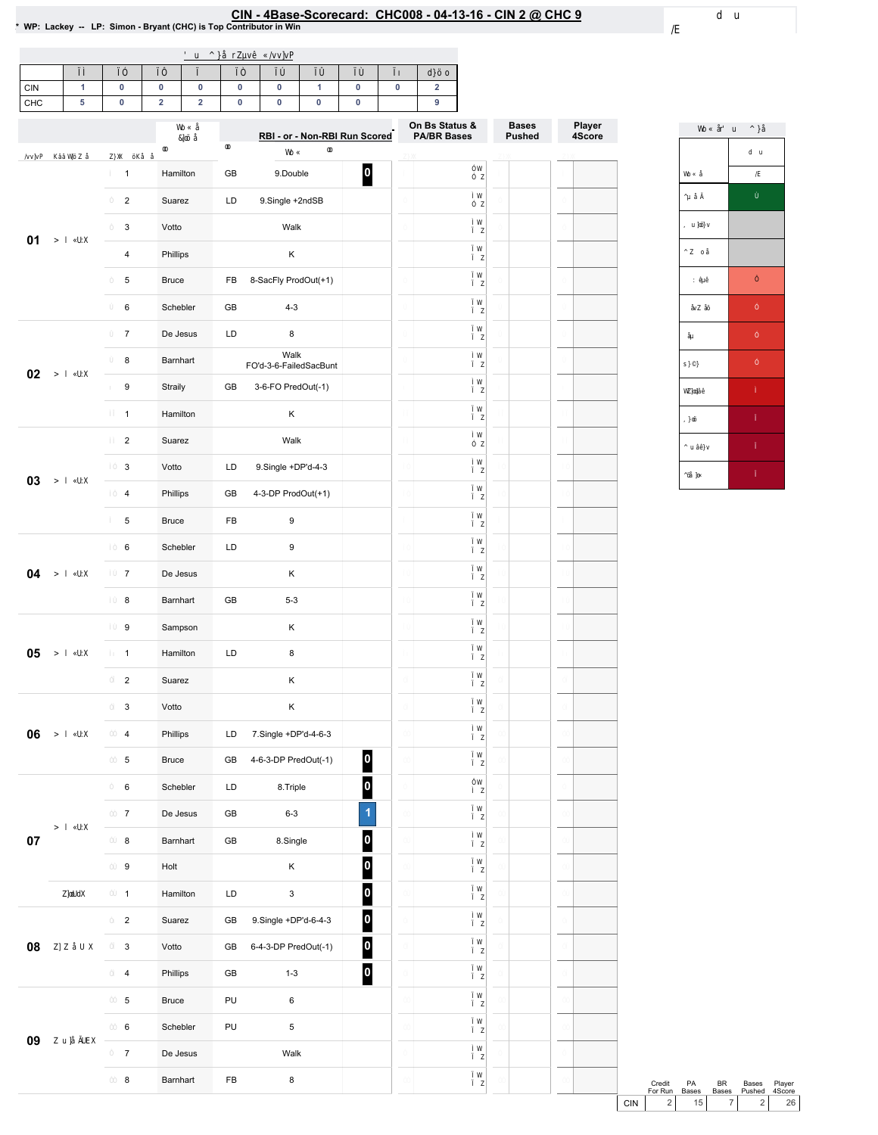# EIN - 4Base-Scorecard: CHC008 - 04-13-16 - CIN 2 @ CHC 9<br>\* WP: Lackey -- LP: Simon - Bryant (CHC) is Top Contributor in Win

| <b>CIN</b> |  |  |  |  |  |
|------------|--|--|--|--|--|
| CHC        |  |  |  |  |  |

|        |                         |              |               | RBI - or - Non-RBI Run Scored  |                         | On Bs Status &<br><b>PA/BR Bases</b> | <b>Bases</b><br><b>Pushed</b> | Player<br>4Score |
|--------|-------------------------|--------------|---------------|--------------------------------|-------------------------|--------------------------------------|-------------------------------|------------------|
|        | $\mathbf{1}$            | Hamilton     | GB            | 9.Double                       | 0                       |                                      |                               |                  |
|        | $\overline{\mathbf{c}}$ | Suarez       | LD            | 9.Single +2ndSB                |                         |                                      |                               |                  |
|        | 3                       | Votto        |               | Walk                           |                         |                                      |                               |                  |
| 01     | 4                       | Phillips     |               | Κ                              |                         |                                      |                               |                  |
|        | 5                       | <b>Bruce</b> | FB            | 8-SacFly ProdOut(+1)           |                         |                                      |                               |                  |
|        | 6                       | Schebler     | GB            | $4 - 3$                        |                         |                                      |                               |                  |
|        | $\overline{7}$          | De Jesus     | LD            | 8                              |                         |                                      |                               |                  |
|        | 8                       | Barnhart     |               | Walk<br>FO'd-3-6-FailedSacBunt |                         |                                      |                               |                  |
| 02     | 9                       | Straily      | GB            | 3-6-FO PredOut(-1)             |                         |                                      |                               |                  |
|        | $\mathbf{1}$            | Hamilton     |               | Κ                              |                         |                                      |                               |                  |
|        | $\overline{2}$          | Suarez       |               | Walk                           |                         |                                      |                               |                  |
|        | 3                       | Votto        | LD            | 9.Single +DP'd-4-3             |                         |                                      |                               |                  |
| 03     | 4                       | Phillips     | GB            | 4-3-DP ProdOut(+1)             |                         |                                      |                               |                  |
|        | 5                       | <b>Bruce</b> | FB            | 9                              |                         |                                      |                               |                  |
|        | 6                       | Schebler     | LD            | 9                              |                         |                                      |                               |                  |
| 04     | $\overline{7}$          | De Jesus     |               | Κ                              |                         |                                      |                               |                  |
|        | 8                       | Barnhart     | GB            | $5 - 3$                        |                         |                                      |                               |                  |
|        | 9                       | Sampson      |               | Κ                              |                         |                                      |                               |                  |
| 05     | $\mathbf{1}$            | Hamilton     | LD            | 8                              |                         |                                      |                               |                  |
|        | $\overline{2}$          | Suarez       |               | Κ                              |                         |                                      |                               |                  |
|        | 3                       | Votto        |               | Κ                              |                         |                                      |                               |                  |
| 06     | 4                       | Phillips     | LD            | 7.Single +DP'd-4-6-3           |                         |                                      |                               |                  |
|        | 5                       | <b>Bruce</b> | GB            | 4-6-3-DP PredOut(-1)           | $\bullet$               |                                      |                               |                  |
|        | $\,6\,$                 | Schebler     | LD            | 8.Triple                       | $\overline{\mathbf{0}}$ |                                      |                               |                  |
|        | $\boldsymbol{7}$        | De Jesus     | GB            | $6-3$                          | $\overline{1}$          |                                      |                               |                  |
| $07\,$ | 8                       | Barnhart     | $\mathsf{GB}$ | 8.Single                       | $\overline{\mathbf{0}}$ |                                      |                               |                  |
|        | $\boldsymbol{9}$        | Holt         |               | Κ                              | $\overline{\mathbf{0}}$ |                                      |                               |                  |
|        | $\mathbf{1}$            | Hamilton     | LD            | 3                              | $\overline{\mathbf{0}}$ |                                      |                               |                  |
|        | $\overline{2}$          | Suarez       | GB            | 9.Single +DP'd-6-4-3           | $\overline{\mathbf{0}}$ |                                      |                               |                  |
| 08     | $\mathbf{3}$            | Votto        | GB            | 6-4-3-DP PredOut(-1)           | $\overline{\mathbf{0}}$ |                                      |                               |                  |
|        | $\overline{4}$          | Phillips     | GB            | $1 - 3$                        | $\overline{\mathbf{0}}$ |                                      |                               |                  |
|        | $\,$ 5 $\,$             | <b>Bruce</b> | PU            | 6                              |                         |                                      |                               |                  |
|        | $\,6$                   | Schebler     | PU            | 5                              |                         |                                      |                               |                  |
| 09     | $\boldsymbol{7}$        | De Jesus     |               | Walk                           |                         |                                      |                               |                  |
|        | $\bf8$                  | Barnhart     | FB            | 8                              |                         |                                      |                               |                  |



Credit PA BR Bases Player<br>ForRun Bases Bases Pushed 4Score<br>CIN 2 15 7 2 26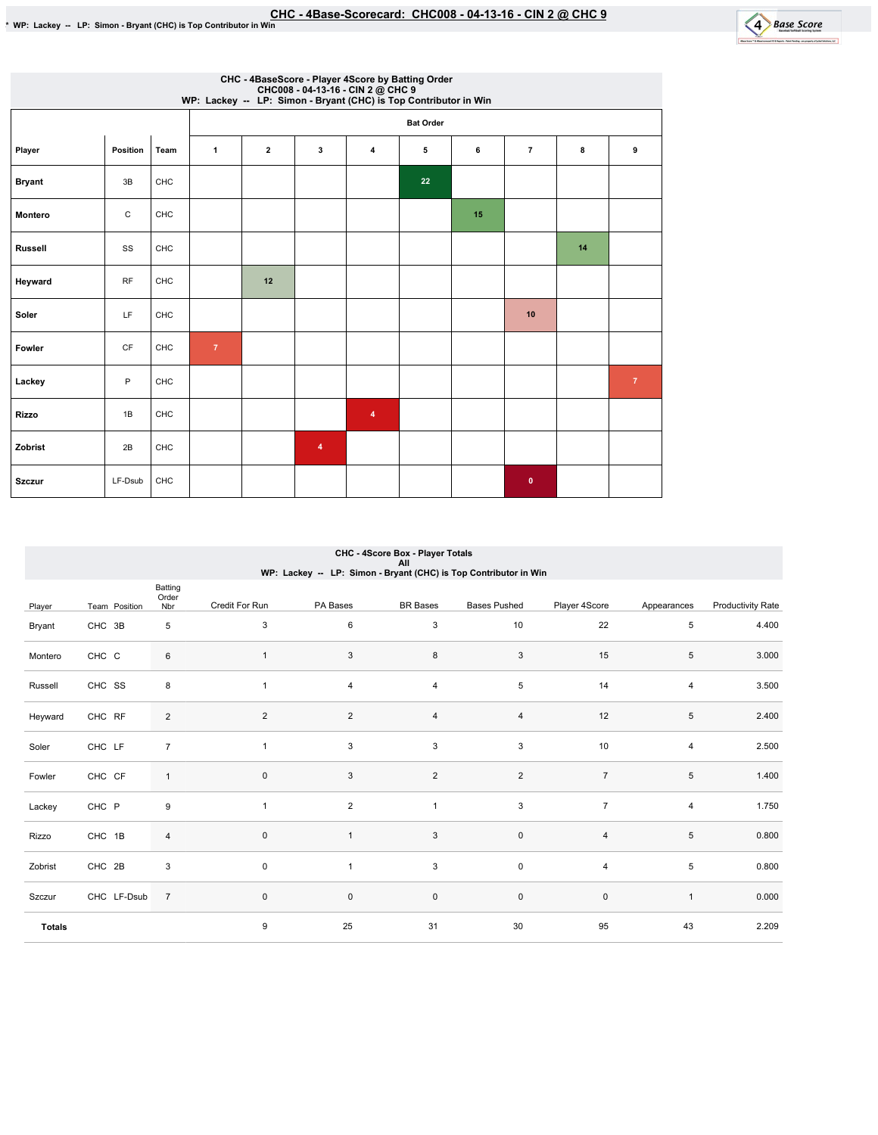

|               |                        |            | CHC008 - 04-13-16 - CIN 2 @ CHC 9<br>WP: Lackey -- LP: Simon - Bryant (CHC) is Top Contributor in Win |                  |   |                | CHC - 4BaseScore - Player 4Score by Batting Order |    |                |    |                |  |  |
|---------------|------------------------|------------|-------------------------------------------------------------------------------------------------------|------------------|---|----------------|---------------------------------------------------|----|----------------|----|----------------|--|--|
|               |                        |            |                                                                                                       | <b>Bat Order</b> |   |                |                                                   |    |                |    |                |  |  |
| Player        | Position               | Team       | $\mathbf{1}$                                                                                          | $\overline{2}$   | 3 | $\overline{4}$ | 5                                                 | 6  | $\overline{7}$ | 8  | 9              |  |  |
| <b>Bryant</b> | 3B                     | <b>CHC</b> |                                                                                                       |                  |   |                | 22                                                |    |                |    |                |  |  |
| Montero       | $\mathtt{C}$           | CHC        |                                                                                                       |                  |   |                |                                                   | 15 |                |    |                |  |  |
| Russell       | SS                     | <b>CHC</b> |                                                                                                       |                  |   |                |                                                   |    |                | 14 |                |  |  |
| Heyward       | <b>RF</b>              | CHC        |                                                                                                       | 12               |   |                |                                                   |    |                |    |                |  |  |
| Soler         | LF                     | <b>CHC</b> |                                                                                                       |                  |   |                |                                                   |    | 10             |    |                |  |  |
| Fowler        | $\mathsf{C}\mathsf{F}$ | <b>CHC</b> | $\overline{7}$                                                                                        |                  |   |                |                                                   |    |                |    |                |  |  |
| Lackey        | P                      | CHC        |                                                                                                       |                  |   |                |                                                   |    |                |    | $\overline{7}$ |  |  |
| <b>Rizzo</b>  | 1B                     | CHC        |                                                                                                       |                  |   | $\overline{4}$ |                                                   |    |                |    |                |  |  |
| Zobrist       | 2B                     | CHC        |                                                                                                       |                  | 4 |                |                                                   |    |                |    |                |  |  |
| <b>Szczur</b> | LF-Dsub                | CHC        |                                                                                                       |                  |   |                |                                                   |    | $\mathbf{0}$   |    |                |  |  |

|               |               |                         |                         |                | CHC - 4Score Box - Player Totals<br>All | WP: Lackey -- LP: Simon - Bryant (CHC) is Top Contributor in Win |                |                |                          |
|---------------|---------------|-------------------------|-------------------------|----------------|-----------------------------------------|------------------------------------------------------------------|----------------|----------------|--------------------------|
| Player        | Team Position | Batting<br>Order<br>Nbr | Credit For Run          | PA Bases       | <b>BR</b> Bases                         | <b>Bases Pushed</b>                                              | Player 4Score  | Appearances    | <b>Productivity Rate</b> |
| Bryant        | CHC 3B        | 5                       | 3                       | 6              | 3                                       | 10                                                               | 22             | 5              | 4.400                    |
| Montero       | CHC C         | $\,6\,$                 | 1                       | $\sqrt{3}$     | $\bf 8$                                 | 3                                                                | 15             | 5              | 3.000                    |
| Russell       | CHC SS        | 8                       | 1                       | $\overline{4}$ | $\overline{4}$                          | 5                                                                | 14             | $\overline{4}$ | 3.500                    |
| Heyward       | CHC RF        | 2                       | $\overline{\mathbf{c}}$ | $\overline{c}$ | $\overline{4}$                          | $\overline{4}$                                                   | 12             | $\,$ 5 $\,$    | 2.400                    |
| Soler         | CHC LF        | $\overline{7}$          | $\mathbf{1}$            | 3              | 3                                       | 3                                                                | 10             | $\overline{4}$ | 2.500                    |
| Fowler        | CHC CF        | $\mathbf{1}$            | 0                       | $\mathsf 3$    | $\overline{2}$                          | $\overline{2}$                                                   | $\overline{7}$ | $\,$ 5 $\,$    | 1.400                    |
| Lackey        | CHC P         | 9                       | $\mathbf{1}$            | $\overline{2}$ | $\mathbf{1}$                            | $\sqrt{3}$                                                       | $\overline{7}$ | $\overline{4}$ | 1.750                    |
| Rizzo         | CHC 1B        | $\sqrt{4}$              | 0                       | $\mathbf{1}$   | $\mathbf{3}$                            | $\pmb{0}$                                                        | 4              | $\,$ 5 $\,$    | 0.800                    |
| Zobrist       | CHC 2B        | 3                       | $\mathbf 0$             | $\mathbf{1}$   | 3                                       | $\mathsf 0$                                                      | $\overline{4}$ | 5              | 0.800                    |
| Szczur        | CHC LF-Dsub   | $\overline{7}$          | 0                       | $\pmb{0}$      | $\mathsf 0$                             | $\pmb{0}$                                                        | $\pmb{0}$      | $\mathbf{1}$   | 0.000                    |
| <b>Totals</b> |               |                         | 9                       | 25             | 31                                      | 30                                                               | 95             | 43             | 2.209                    |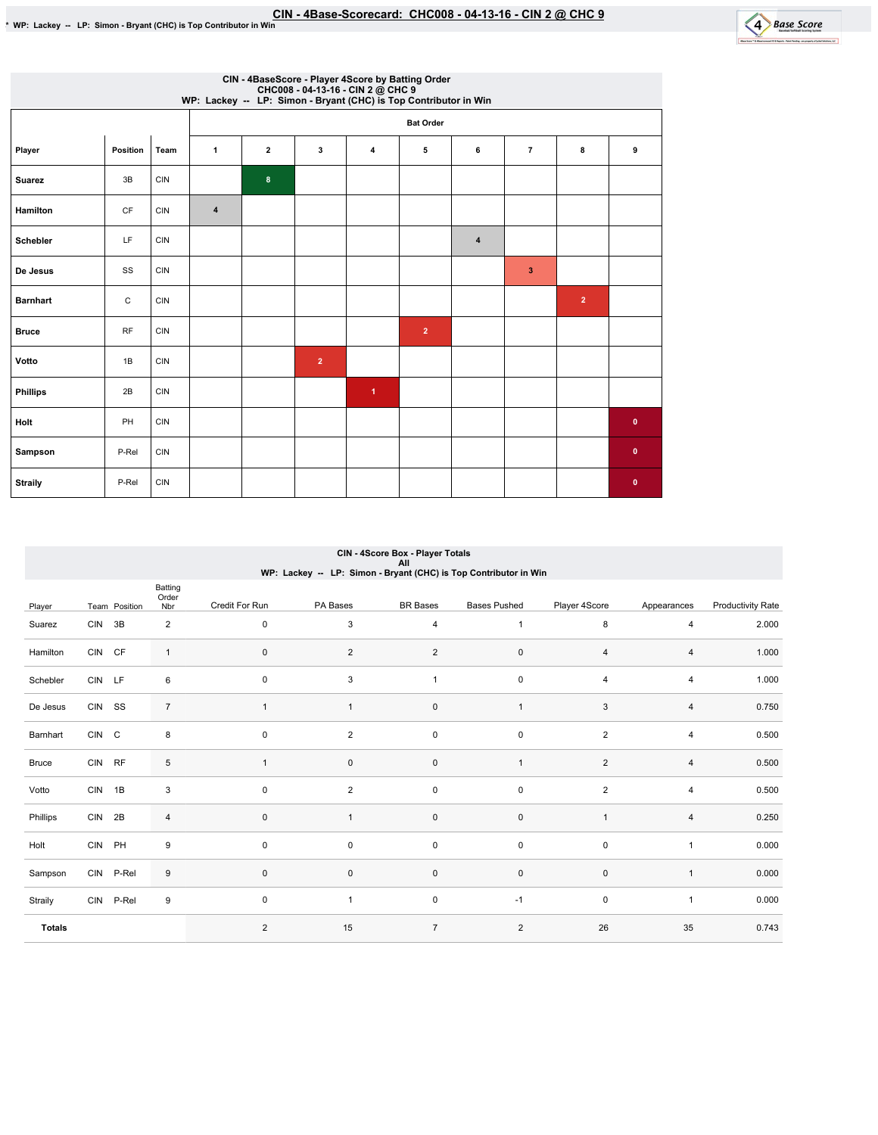

|                 |             |            | CHC008 - 04-13-16 - CIN 2 @ CHC 9<br>WP: Lackey -- LP: Simon - Bryant (CHC) is Top Contributor in Win |                         |                | CIN - 4BaseScore - Player 4Score by Batting Order |                |   |                |                |              |  |  |  |
|-----------------|-------------|------------|-------------------------------------------------------------------------------------------------------|-------------------------|----------------|---------------------------------------------------|----------------|---|----------------|----------------|--------------|--|--|--|
|                 |             |            |                                                                                                       | <b>Bat Order</b>        |                |                                                   |                |   |                |                |              |  |  |  |
| Player          | Position    | Team       | 1                                                                                                     | $\overline{\mathbf{2}}$ | 3              | 4                                                 | 5              | 6 | $\overline{7}$ | 8              | 9            |  |  |  |
| <b>Suarez</b>   | 3B          | <b>CIN</b> |                                                                                                       | $\boldsymbol{8}$        |                |                                                   |                |   |                |                |              |  |  |  |
| Hamilton        | CF          | <b>CIN</b> | $\overline{\mathbf{4}}$                                                                               |                         |                |                                                   |                |   |                |                |              |  |  |  |
| <b>Schebler</b> | LF          | <b>CIN</b> |                                                                                                       |                         |                |                                                   |                | 4 |                |                |              |  |  |  |
| De Jesus        | SS          | <b>CIN</b> |                                                                                                       |                         |                |                                                   |                |   | 3              |                |              |  |  |  |
| <b>Barnhart</b> | $\mathsf C$ | <b>CIN</b> |                                                                                                       |                         |                |                                                   |                |   |                | $\overline{2}$ |              |  |  |  |
| <b>Bruce</b>    | <b>RF</b>   | <b>CIN</b> |                                                                                                       |                         |                |                                                   | $\overline{2}$ |   |                |                |              |  |  |  |
| Votto           | 1B          | <b>CIN</b> |                                                                                                       |                         | $\overline{2}$ |                                                   |                |   |                |                |              |  |  |  |
| <b>Phillips</b> | 2B          | <b>CIN</b> |                                                                                                       |                         |                | $\blacktriangleleft$                              |                |   |                |                |              |  |  |  |
| Holt            | PH          | <b>CIN</b> |                                                                                                       |                         |                |                                                   |                |   |                |                | $\pmb{0}$    |  |  |  |
| Sampson         | P-Rel       | <b>CIN</b> |                                                                                                       |                         |                |                                                   |                |   |                |                | $\mathbf{0}$ |  |  |  |
| <b>Straily</b>  | P-Rel       | <b>CIN</b> |                                                                                                       |                         |                |                                                   |                |   |                |                | $\mathbf{0}$ |  |  |  |

### CIN-4ScoreBox-PlayerTotals All WP:Lackey--LP:Simon-Bryant(CHC)isTopContributorinWin

|               |        |               | Batting<br>Order          |                |                |                 |                     |                |                |                          |
|---------------|--------|---------------|---------------------------|----------------|----------------|-----------------|---------------------|----------------|----------------|--------------------------|
| Player        |        | Team Position | Nbr                       | Credit For Run | PA Bases       | <b>BR</b> Bases | <b>Bases Pushed</b> | Player 4Score  | Appearances    | <b>Productivity Rate</b> |
| Suarez        | CIN 3B |               | $\overline{2}$            | $\mathbf 0$    | 3              | 4               | $\mathbf{1}$        | 8              | 4              | 2.000                    |
| Hamilton      | CIN CF |               | $\mathbf{1}$              | $\pmb{0}$      | $\overline{2}$ | $\overline{2}$  | $\mathsf 0$         | $\overline{4}$ | 4              | 1.000                    |
| Schebler      | CIN LF |               | 6                         | $\pmb{0}$      | 3              | $\mathbf{1}$    | $\pmb{0}$           | $\overline{4}$ | 4              | 1.000                    |
| De Jesus      | CIN SS |               | $\overline{7}$            | $\mathbf{1}$   | $\mathbf{1}$   | $\pmb{0}$       | $\mathbf{1}$        | $\sqrt{3}$     | $\overline{4}$ | 0.750                    |
| Barnhart      | CIN C  |               | 8                         | $\pmb{0}$      | $\overline{2}$ | $\mathsf 0$     | $\pmb{0}$           | $\overline{2}$ | 4              | 0.500                    |
| <b>Bruce</b>  | CIN RF |               | $\,$ 5 $\,$               | $\mathbf{1}$   | $\mathbf 0$    | $\pmb{0}$       | $\mathbf{1}$        | $\overline{2}$ | 4              | 0.500                    |
| Votto         | CIN 1B |               | $\ensuremath{\mathsf{3}}$ | $\pmb{0}$      | $\overline{2}$ | $\mathsf 0$     | $\mathsf 0$         | $\overline{2}$ | 4              | 0.500                    |
| Phillips      | CIN 2B |               | 4                         | $\pmb{0}$      | $\mathbf{1}$   | $\mathsf 0$     | $\mathsf 0$         | 1              | 4              | 0.250                    |
| Holt          |        | CIN PH        | 9                         | $\mathbf 0$    | 0              | $\mathsf 0$     | $\mathsf 0$         | $\pmb{0}$      | $\mathbf{1}$   | 0.000                    |
| Sampson       |        | CIN P-Rel     | 9                         | $\pmb{0}$      | $\mathbf 0$    | $\mathsf 0$     | $\pmb{0}$           | $\pmb{0}$      | $\mathbf{1}$   | 0.000                    |
| Straily       |        | CIN P-Rel     | 9                         | $\pmb{0}$      | $\mathbf{1}$   | $\mathsf 0$     | $-1$                | $\pmb{0}$      | $\mathbf{1}$   | 0.000                    |
| <b>Totals</b> |        |               |                           | $\overline{2}$ | 15             | $\overline{7}$  | $\overline{2}$      | 26             | 35             | 0.743                    |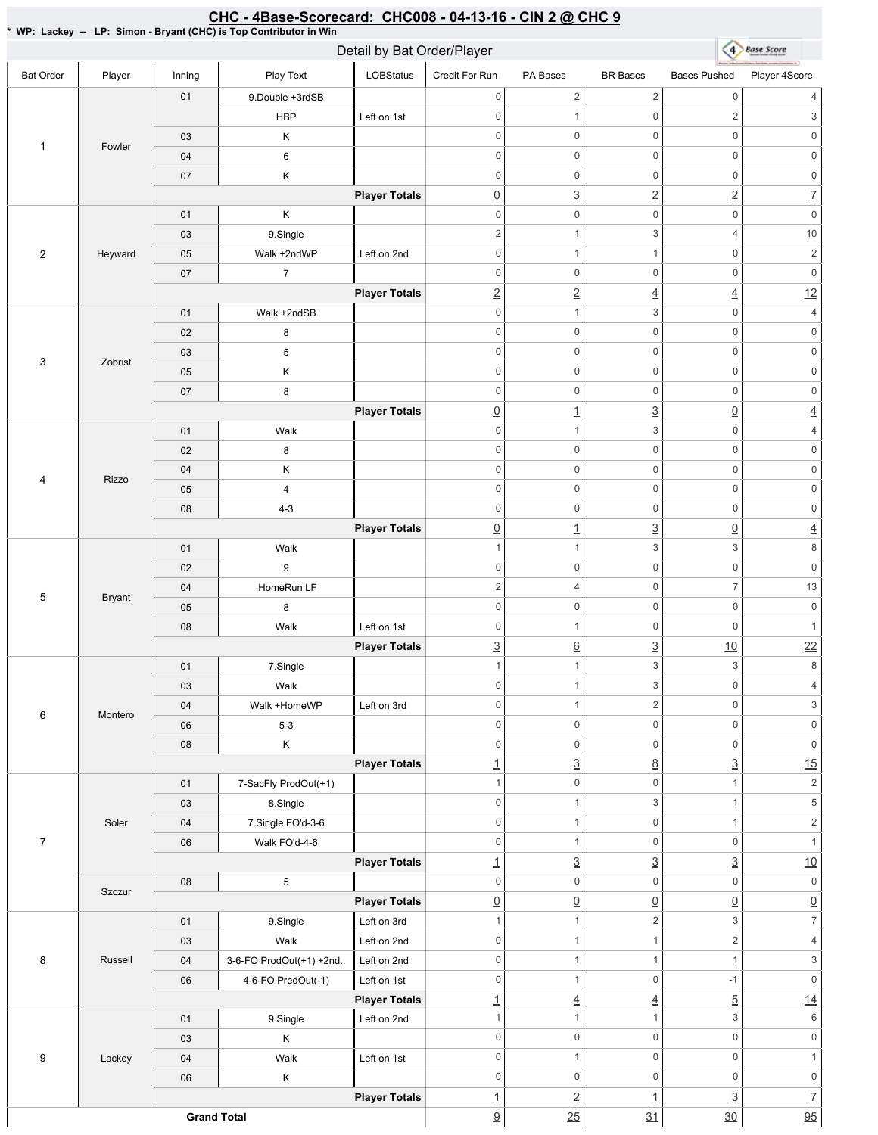#### \*WP:Lackey--LP:Simon-Bryant(CHC)isTopContributorinWin 4 Base Score Detail by Bat Order/Player Bat Order | Player | Inning | PlayText | LOBStatus Credit For Run PA Bases BR Bases Bases Pushed Player 4Score 01 9.Double +3rdSB  $0 \qquad \qquad 2 \qquad \qquad 2 \qquad \qquad 0 \qquad \qquad 4$ HBP Left on 1st 0 1 0 2 3 03 K 0 0 0 0 0 0 1 Fowler 0 0 0 0 0 0 04 6 0 0 0 0 0 0 07 K **Player Totals**  $\boxed{0}$   $\boxed{3}$   $\boxed{2}$   $\boxed{2}$   $\boxed{7}$ 01 | K 0 0 0 0 0 0 03 9.Single 2 1 3 4 10 2 Heyward 05 Walk +2ndWP Left on 2nd 0 1 1 0 2 07 7 0 0 0 0 0 0 **Player Totals** 2 2 4  $\frac{4}{4}$  12 01 | Walk +2ndSB 0 1 3 0 4 02 8 0 0 0 0 0 0 03 5 0 0 0 0 0 0 3 Zobrist 05 K 0 0 0 0 0 0 07 8 0 0 0 0 0 0 **Player Totals** 0 1 3 0 4 01 Walk 0 1 3 0 4 02 8 0 0 0 0 0 0 04 K 0 0 0 0 0 0 4 Rizzo 0 0 0 0 0 0 05 4 08 4-3 0 0 0 0 0 0 **Player Totals** 0 1 3 0 4 01 Walk 1  $1$  3 3 8 02 9 0 0 0 0 0 0 04 | HomeRun LF 2 4 0 7 13 5 Bryant 0 0 0 0 0 0 05 8 08 | Walk Left on 1st 0 0 0 1 **Player Totals**  $\frac{3}{2}$  6  $\frac{3}{2}$  10 22 01 | 7.Single 1  $1$  3 3 8 03 Walk 0 1 3 0 4 04 | Walk+HomeWP Left on 3rd 0 1 2 0 3 6 Montero 06 5-3 0 0 0 0 0 0 08 K 0 0 0 0 0 0 **Player Totals** 1  $\frac{3}{8}$  8  $\frac{3}{15}$ 01 7-SacFly ProdOut(+1) 1 0 0 1 2 03 8.Single 0 1 3 1 5 04 7.Single FO'd-3-6 Soler 0 1 0 1 2 7 06 Walk FO'd-4-6 0 0 0 1 **Player Totals** 1  $\frac{3}{2}$   $\frac{3}{2}$   $\frac{3}{2}$   $\frac{10}{2}$ 08 5 0 0 0 0 0 0 Szczur **Player Totals**  $\begin{array}{c|c|c|c|c|c} \hline \Omega & \Omega & \Omega & \Omega \end{array} \hspace{1.5cm} \begin{array}{c|c|c} \hline \Omega & \Omega & \Omega \end{array} \hspace{1.5cm} \begin{array}{c|c|c} \hline \Omega & \Omega & \Omega \end{array} \end{array}$ 01 | 9.Single | Left on 3rd 1 1 2 3 7 03 | Walk Left on 2nd 0 1 1  $1$  2 4 8 Russell 04 3-6-FO ProdOut(+1) +2nd.. Left on 2nd 0 1 1 1  $1$  3 06 4-6-FO PredOut(-1) Left on 1st 0 1 0 -1 0 **Player Totals** 1  $\frac{1}{4}$   $\frac{4}{1}$   $\frac{5}{14}$ 01 9.Single Left on 2nd 1 1 1 3 6 03 K 0 0 0 0 0 0 9 Lackey 04 | Walk Left on 1st 0 0 1 0 1 06 K 0 0 0 0 0 0 **Player Totals** 1 2 1 3 7 **Grand Total**  $\frac{9}{9}$  25 31 30 30

CHC - 4Base-Scorecard: CHC008 - 04-13-16 - CIN 2 @ CHC 9